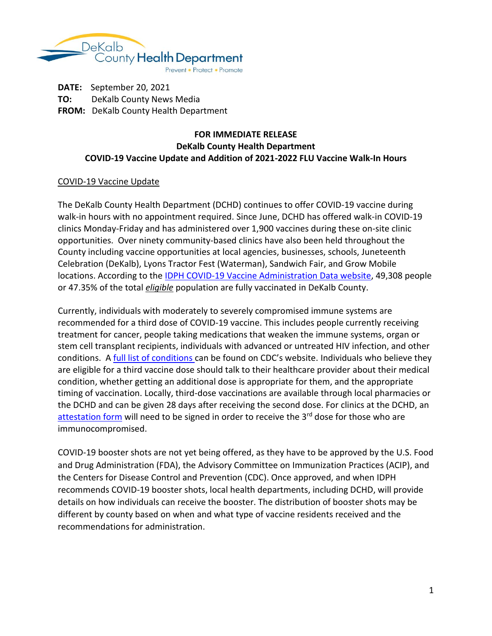

**DATE:** September 20, 2021 **TO:** DeKalb County News Media **FROM:** DeKalb County Health Department

## **FOR IMMEDIATE RELEASE DeKalb County Health Department COVID-19 Vaccine Update and Addition of 2021-2022 FLU Vaccine Walk-In Hours**

## COVID-19 Vaccine Update

The DeKalb County Health Department (DCHD) continues to offer COVID-19 vaccine during walk-in hours with no appointment required. Since June, DCHD has offered walk-in COVID-19 clinics Monday-Friday and has administered over 1,900 vaccines during these on-site clinic opportunities. Over ninety community-based clinics have also been held throughout the County including vaccine opportunities at local agencies, businesses, schools, Juneteenth Celebration (DeKalb), Lyons Tractor Fest (Waterman), Sandwich Fair, and Grow Mobile locations. According to the IDPH COVID-19 Vaccine Administration Data website, 49,308 people or 47.35% of the total *eligible* population are fully vaccinated in DeKalb County.

Currently, individuals with moderately to severely compromised immune systems are recommended for a third dose of COVID-19 vaccine. This includes people currently receiving treatment for cancer, people taking medications that weaken the immune systems, organ or stem cell transplant recipients, individuals with advanced or untreated HIV infection, and other conditions. A full list of conditions can be found on CDC's website. Individuals who believe they are eligible for a third vaccine dose should talk to their healthcare provider about their medical condition, whether getting an additional dose is appropriate for them, and the appropriate timing of vaccination. Locally, third-dose vaccinations are available through local pharmacies or the DCHD and can be given 28 days after receiving the second dose. For clinics at the DCHD, an attestation form will need to be signed in order to receive the 3rd dose for those who are immunocompromised.

COVID-19 booster shots are not yet being offered, as they have to be approved by the U.S. Food and Drug Administration (FDA), the Advisory Committee on Immunization Practices (ACIP), and the Centers for Disease Control and Prevention (CDC). Once approved, and when IDPH recommends COVID-19 booster shots, local health departments, including DCHD, will provide details on how individuals can receive the booster. The distribution of booster shots may be different by county based on when and what type of vaccine residents received and the recommendations for administration.